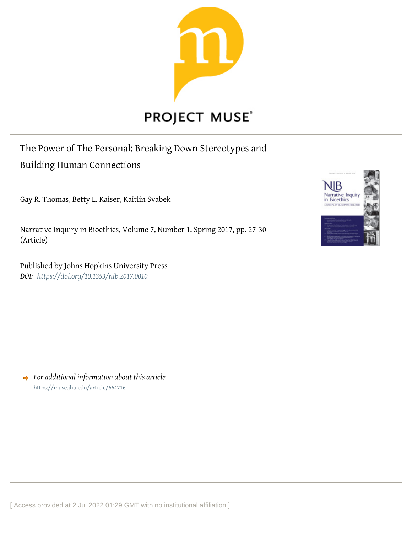

## The Power of The Personal: Breaking Down Stereotypes and

## Building Human Connections

Gay R. Thomas, Betty L. Kaiser, Kaitlin Svabek

Narrative Inquiry in Bioethics, Volume 7, Number 1, Spring 2017, pp. 27-30 (Article)

Published by Johns Hopkins University Press *DOI: <https://doi.org/10.1353/nib.2017.0010>*



*For additional information about this article* <https://muse.jhu.edu/article/664716>

[ Access provided at 2 Jul 2022 01:29 GMT with no institutional affiliation ]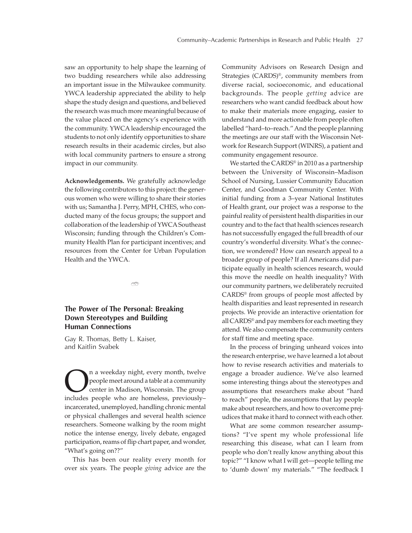saw an opportunity to help shape the learning of two budding researchers while also addressing an important issue in the Milwaukee community. YWCA leadership appreciated the ability to help shape the study design and questions, and believed the research was much more meaningful because of the value placed on the agency's experience with the community. YWCA leadership encouraged the students to not only identify opportunities to share research results in their academic circles, but also with local community partners to ensure a strong impact in our community.

**Acknowledgements.** We gratefully acknowledge the following contributors to this project: the generous women who were willing to share their stories with us; Samantha J. Perry, MPH, CHES, who conducted many of the focus groups; the support and collaboration of the leadership of YWCA Southeast Wisconsin; funding through the Children's Community Health Plan for participant incentives; and resources from the Center for Urban Population Health and the YWCA.

൹

## **The Power of The Personal: Breaking Down Stereotypes and Building Human Connections**

Gay R. Thomas, Betty L. Kaiser, and Kaitlin Svabek

**On a weekday night, every month, twelve**<br>
people meet around a table at a community<br>
center in Madison, Wisconsin. The group<br>
includes neople who are homeless, previouslypeople meet around a table at a community center in Madison, Wisconsin. The group includes people who are homeless, previously– incarcerated, unemployed, handling chronic mental or physical challenges and several health science researchers. Someone walking by the room might notice the intense energy, lively debate, engaged participation, reams of flip chart paper, and wonder, "What's going on??"

This has been our reality every month for over six years. The people *giving* advice are the

Community Advisors on Research Design and Strategies (CARDS)®, community members from diverse racial, socioeconomic, and educational backgrounds. The people *getting* advice are researchers who want candid feedback about how to make their materials more engaging, easier to understand and more actionable from people often labelled "hard–to–reach." And the people planning the meetings are our staff with the Wisconsin Network for Research Support (WINRS), a patient and community engagement resource.

We started the CARDS® in 2010 as a partnership between the University of Wisconsin–Madison School of Nursing, Lussier Community Education Center, and Goodman Community Center. With initial funding from a 3–year National Institutes of Health grant, our project was a response to the painful reality of persistent health disparities in our country and to the fact that health sciences research has not successfully engaged the full breadth of our country's wonderful diversity. What's the connection, we wondered? How can research appeal to a broader group of people? If all Americans did participate equally in health sciences research, would this move the needle on health inequality? With our community partners, we deliberately recruited CARDS® from groups of people most affected by health disparities and least represented in research projects. We provide an interactive orientation for all CARDS® and pay members for each meeting they attend. We also compensate the community centers for staff time and meeting space.

In the process of bringing unheard voices into the research enterprise, we have learned a lot about how to revise research activities and materials to engage a broader audience. We've also learned some interesting things about the stereotypes and assumptions that researchers make about "hard to reach" people, the assumptions that lay people make about researchers, and how to overcome prejudices that make it hard to connect with each other.

What are some common researcher assumptions? "I've spent my whole professional life researching this disease, what can I learn from people who don't really know anything about this topic?" "I know what I will get—people telling me to 'dumb down' my materials." "The feedback I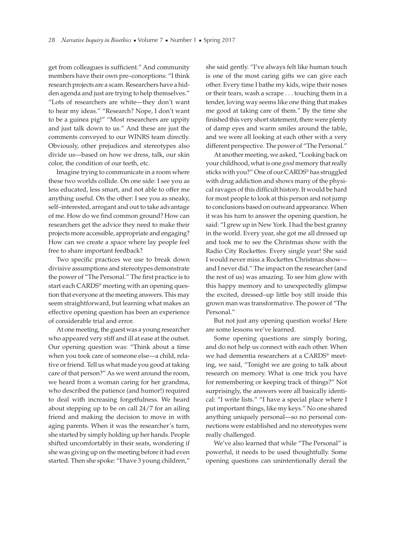get from colleagues is sufficient." And community members have their own pre–conceptions: "I think research projects are a scam. Researchers have a hidden agenda and just are trying to help themselves." "Lots of researchers are white—they don't want to hear my ideas." "Research? Nope, I don't want to be a guinea pig!" "Most researchers are uppity and just talk down to us." And these are just the comments conveyed to our WINRS team directly. Obviously, other prejudices and stereotypes also divide us—based on how we dress, talk, our skin color, the condition of our teeth, etc.

Imagine trying to communicate in a room where these two worlds collide. On one side: I see you as less educated, less smart, and not able to offer me anything useful. On the other: I see you as sneaky, self–interested, arrogant and out to take advantage of me. How do we find common ground? How can researchers get the advice they need to make their projects more accessible, appropriate and engaging? How can we create a space where lay people feel free to share important feedback?

Two specific practices we use to break down divisive assumptions and stereotypes demonstrate the power of "The Personal." The first practice is to start each CARDS® meeting with an opening question that everyone at the meeting answers. This may seem straightforward, but learning what makes an effective opening question has been an experience of considerable trial and error.

At one meeting, the guest was a young researcher who appeared very stiff and ill at ease at the outset. Our opening question was: "Think about a time when you took care of someone else—a child, relative or friend. Tell us what made you good at taking care of that person?" As we went around the room, we heard from a woman caring for her grandma, who described the patience (and humor!) required to deal with increasing forgetfulness. We heard about stepping up to be on call 24/7 for an ailing friend and making the decision to move in with aging parents. When it was the researcher's turn, she started by simply holding up her hands. People shifted uncomfortably in their seats, wondering if she was giving up on the meeting before it had even started. Then she spoke: "I have 3 young children," she said gently. "I've always felt like human touch is one of the most caring gifts we can give each other. Every time I bathe my kids, wipe their noses or their tears, wash a scrape . . . touching them in a tender, loving way seems like one thing that makes me good at taking care of them." By the time she finished this very short statement, there were plenty of damp eyes and warm smiles around the table, and we were all looking at each other with a very different perspective. The power of "The Personal."

At another meeting, we asked, "Looking back on your childhood, what is one *good* memory that really sticks with you?" One of our CARDS® has struggled with drug addiction and shows many of the physical ravages of this difficult history. It would be hard for most people to look at this person and not jump to conclusions based on outward appearance. When it was his turn to answer the opening question, he said: "I grew up in New York. I had the best granny in the world. Every year, she got me all dressed up and took me to see the Christmas show with the Radio City Rockettes. Every single year! She said I would never miss a Rockettes Christmas show and I never did." The impact on the researcher (and the rest of us) was amazing. To see him glow with this happy memory and to unexpectedly glimpse the excited, dressed–up little boy still inside this grown man was transformative. The power of "The Personal."

But not just any opening question works! Here are some lessons we've learned.

Some opening questions are simply boring, and do not help us connect with each other. When we had dementia researchers at a CARDS® meeting, we said, "Tonight we are going to talk about research on memory. What is one trick you have for remembering or keeping track of things?" Not surprisingly, the answers were all basically identical: "I write lists." "I have a special place where I put important things, like my keys." No one shared anything uniquely personal—so no personal connections were established and no stereotypes were really challenged.

We've also learned that while "The Personal" is powerful, it needs to be used thoughtfully. Some opening questions can unintentionally derail the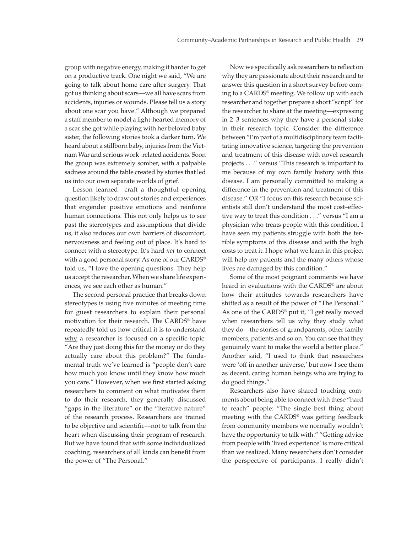group with negative energy, making it harder to get on a productive track. One night we said, "We are going to talk about home care after surgery. That got us thinking about scars—we all have scars from accidents, injuries or wounds. Please tell us a story about one scar you have." Although we prepared a staff member to model a light-hearted memory of a scar she got while playing with her beloved baby sister, the following stories took a darker turn. We heard about a stillborn baby, injuries from the Vietnam War and serious work–related accidents. Soon the group was extremely somber, with a palpable sadness around the table created by stories that led us into our own separate worlds of grief.

Lesson learned—craft a thoughtful opening question likely to draw out stories and experiences that engender positive emotions and reinforce human connections. This not only helps us to see past the stereotypes and assumptions that divide us, it also reduces our own barriers of discomfort, nervousness and feeling out of place. It's hard to connect with a stereotype. It's hard *not* to connect with a good personal story. As one of our CARDS® told us, "I love the opening questions. They help us accept the researcher. When we share life experiences, we see each other as human."

The second personal practice that breaks down stereotypes is using five minutes of meeting time for guest researchers to explain their personal motivation for their research. The CARDS® have repeatedly told us how critical it is to understand why a researcher is focused on a specific topic: "Are they just doing this for the money or do they actually care about this problem?" The fundamental truth we've learned is "people don't care how much you know until they know how much you care." However, when we first started asking researchers to comment on what motivates them to do their research, they generally discussed "gaps in the literature" or the "iterative nature" of the research process. Researchers are trained to be objective and scientific—not to talk from the heart when discussing their program of research. But we have found that with some individualized coaching, researchers of all kinds can benefit from the power of "The Personal."

Now we specifically ask researchers to reflect on why they are passionate about their research and to answer this question in a short survey before coming to a CARDS® meeting. We follow up with each researcher and together prepare a short "script" for the researcher to share at the meeting—expressing in 2–3 sentences why they have a personal stake in their research topic. Consider the difference between "I'm part of a multidisciplinary team facilitating innovative science, targeting the prevention and treatment of this disease with novel research projects . . ." versus "This research is important to me because of my own family history with this disease. I am personally committed to making a difference in the prevention and treatment of this disease." OR "I focus on this research because scientists still don't understand the most cost–effective way to treat this condition . . ." versus "I am a physician who treats people with this condition. I have seen my patients struggle with both the terrible symptoms of this disease and with the high costs to treat it. I hope what we learn in this project will help my patients and the many others whose lives are damaged by this condition."

Some of the most poignant comments we have heard in evaluations with the CARDS® are about how their attitudes towards researchers have shifted as a result of the power of "The Personal." As one of the CARDS® put it, "I get really moved when researchers tell us why they study what they do—the stories of grandparents, other family members, patients and so on. You can see that they genuinely want to make the world a better place." Another said, "I used to think that researchers were 'off in another universe,' but now I see them as decent, caring human beings who are trying to do good things."

Researchers also have shared touching comments about being able to connect with these "hard to reach" people: "The single best thing about meeting with the CARDS® was getting feedback from community members we normally wouldn't have the opportunity to talk with." "Getting advice from people with 'lived experience' is more critical than we realized. Many researchers don't consider the perspective of participants. I really didn't